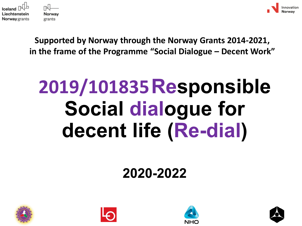



**Supported by Norway through the Norway Grants 2014-2021, in the frame of the Programme "Social Dialogue – Decent Work"**

# **2019/101835Responsible Social dialogue for decent life (Re-dial)**

#### **2020-2022**







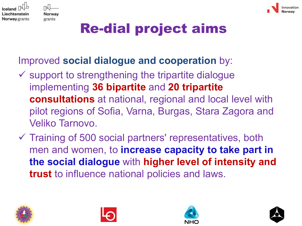



# Re-dial project aims

#### Improved **social dialogue and cooperation** by:

- $\checkmark$  support to strengthening the tripartite dialogue implementing **36 bipartite** and **20 tripartite consultations** at national, regional and local level with pilot regions of Sofia, Varna, Burgas, Stara Zagora and Veliko Tarnovo.
- $\checkmark$  Training of 500 social partners' representatives, both men and women, to **increase capacity to take part in the social dialogue** with **higher level of intensity and trust** to influence national policies and laws.







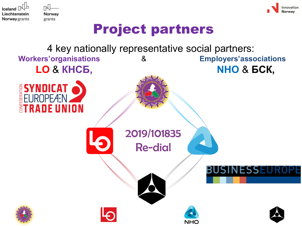

Norway grants



#### Project partners

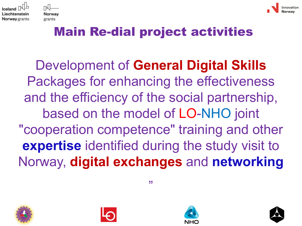



#### Main Re-dial project activities

Development of **General Digital Skills**  Packages for enhancing the effectiveness and the efficiency of the social partnership, based on the model of LO-NHO joint "cooperation competence" training and other **expertise** identified during the study visit to Norway, **digital exchanges** and **networking**









"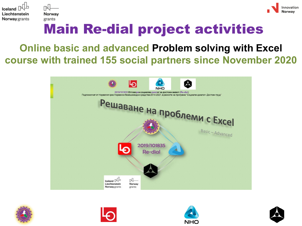



### Main Re-dial project activities

#### **Online basic and advanced Problem solving with Excel course with trained 155 social partners since November 2020**









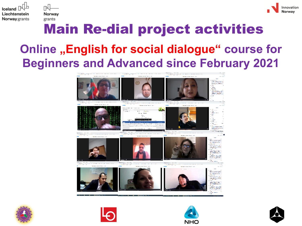



## Main Re-dial project activities

#### **Online "English for social dialogue" course for Beginners and Advanced since February 2021**









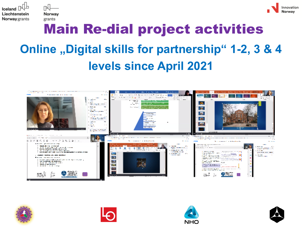



# Main Re-dial project activities **Online ,,Digital skills for partnership" 1-2, 3 & 4 levels since April 2021**









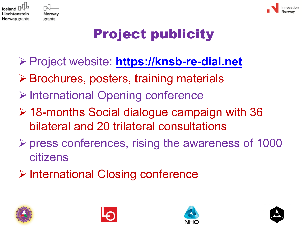



# Project publicity

- Project website: **[https://knsb-re-dial.net](https://knsb-re-dial.net/)**
- **≻ Brochures, posters, training materials**
- **▶ International Opening conference**
- 18-months Social dialogue campaign with 36 bilateral and 20 trilateral consultations
- $\triangleright$  press conferences, rising the awareness of 1000 citizens
- **▶ International Closing conference**